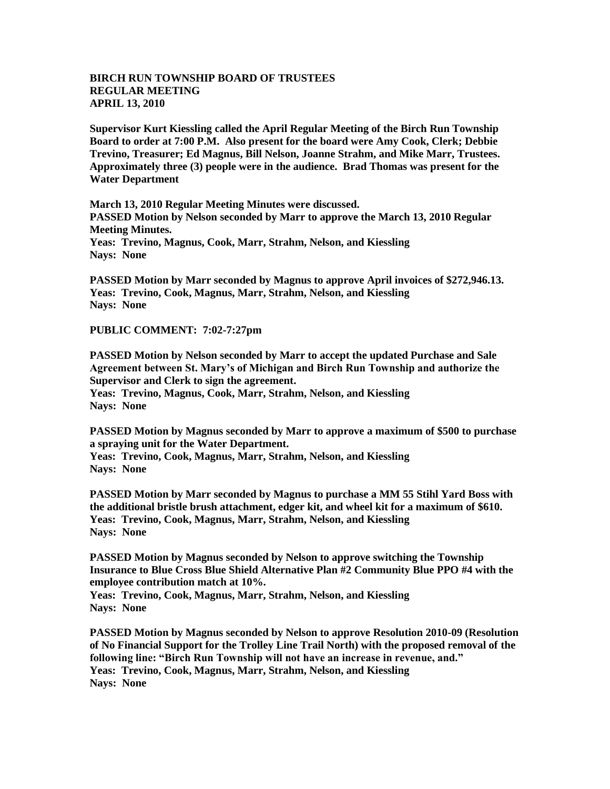## **BIRCH RUN TOWNSHIP BOARD OF TRUSTEES REGULAR MEETING APRIL 13, 2010**

**Supervisor Kurt Kiessling called the April Regular Meeting of the Birch Run Township Board to order at 7:00 P.M. Also present for the board were Amy Cook, Clerk; Debbie Trevino, Treasurer; Ed Magnus, Bill Nelson, Joanne Strahm, and Mike Marr, Trustees. Approximately three (3) people were in the audience. Brad Thomas was present for the Water Department**

**March 13, 2010 Regular Meeting Minutes were discussed. PASSED Motion by Nelson seconded by Marr to approve the March 13, 2010 Regular Meeting Minutes. Yeas: Trevino, Magnus, Cook, Marr, Strahm, Nelson, and Kiessling Nays: None** 

**PASSED Motion by Marr seconded by Magnus to approve April invoices of \$272,946.13. Yeas: Trevino, Cook, Magnus, Marr, Strahm, Nelson, and Kiessling Nays: None** 

**PUBLIC COMMENT: 7:02-7:27pm**

**PASSED Motion by Nelson seconded by Marr to accept the updated Purchase and Sale Agreement between St. Mary's of Michigan and Birch Run Township and authorize the Supervisor and Clerk to sign the agreement.**

**Yeas: Trevino, Magnus, Cook, Marr, Strahm, Nelson, and Kiessling Nays: None** 

**PASSED Motion by Magnus seconded by Marr to approve a maximum of \$500 to purchase a spraying unit for the Water Department.**

**Yeas: Trevino, Cook, Magnus, Marr, Strahm, Nelson, and Kiessling Nays: None** 

**PASSED Motion by Marr seconded by Magnus to purchase a MM 55 Stihl Yard Boss with the additional bristle brush attachment, edger kit, and wheel kit for a maximum of \$610. Yeas: Trevino, Cook, Magnus, Marr, Strahm, Nelson, and Kiessling Nays: None** 

**PASSED Motion by Magnus seconded by Nelson to approve switching the Township Insurance to Blue Cross Blue Shield Alternative Plan #2 Community Blue PPO #4 with the employee contribution match at 10%.**

**Yeas: Trevino, Cook, Magnus, Marr, Strahm, Nelson, and Kiessling Nays: None** 

**PASSED Motion by Magnus seconded by Nelson to approve Resolution 2010-09 (Resolution of No Financial Support for the Trolley Line Trail North) with the proposed removal of the following line: "Birch Run Township will not have an increase in revenue, and." Yeas: Trevino, Cook, Magnus, Marr, Strahm, Nelson, and Kiessling Nays: None**